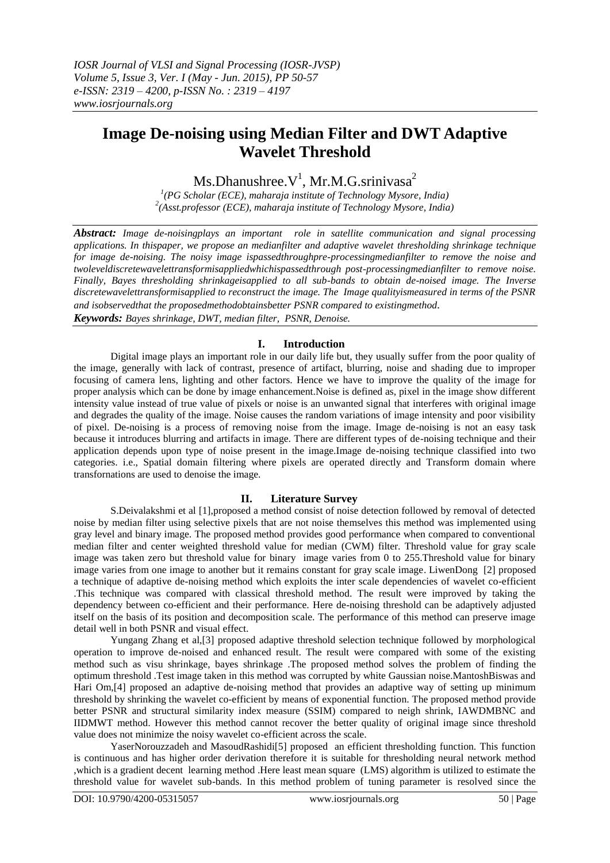# **Image De-noising using Median Filter and DWT Adaptive Wavelet Threshold**

 $Ms.Dhanushree.V<sup>1</sup>, Mr.M.G.srinivasa<sup>2</sup>$ 

*1 (PG Scholar (ECE), maharaja institute of Technology Mysore, India) 2 (Asst.professor (ECE), maharaja institute of Technology Mysore, India)*

*Abstract: Image de-noisingplays an important role in satellite communication and signal processing applications. In thispaper, we propose an medianfilter and adaptive wavelet thresholding shrinkage technique for image de-noising. The noisy image ispassedthroughpre-processingmedianfilter to remove the noise and twoleveldiscretewavelettransformisappliedwhichispassedthrough post-processingmedianfilter to remove noise. Finally, Bayes thresholding shrinkageisapplied to all sub-bands to obtain de-noised image. The Inverse discretewavelettransformisapplied to reconstruct the image. The Image qualityismeasured in terms of the PSNR and isobservedthat the proposedmethodobtainsbetter PSNR compared to existingmethod.*

*Keywords: Bayes shrinkage, DWT, median filter, PSNR, Denoise.*

## **I. Introduction**

Digital image plays an important role in our daily life but, they usually suffer from the poor quality of the image, generally with lack of contrast, presence of artifact, blurring, noise and shading due to improper focusing of camera lens, lighting and other factors. Hence we have to improve the quality of the image for proper analysis which can be done by image enhancement.Noise is defined as, pixel in the image show different intensity value instead of true value of pixels or noise is an unwanted signal that interferes with original image and degrades the quality of the image. Noise causes the random variations of image intensity and poor visibility of pixel. De-noising is a process of removing noise from the image. Image de-noising is not an easy task because it introduces blurring and artifacts in image. There are different types of de-noising technique and their application depends upon type of noise present in the image.Image de-noising technique classified into two categories. i.e., Spatial domain filtering where pixels are operated directly and Transform domain where transfornations are used to denoise the image.

#### **II. Literature Survey**

S.Deivalakshmi et al [1],proposed a method consist of noise detection followed by removal of detected noise by median filter using selective pixels that are not noise themselves this method was implemented using gray level and binary image. The proposed method provides good performance when compared to conventional median filter and center weighted threshold value for median (CWM) filter. Threshold value for gray scale image was taken zero but threshold value for binary image varies from 0 to 255.Threshold value for binary image varies from one image to another but it remains constant for gray scale image. LiwenDong [2] proposed a technique of adaptive de-noising method which exploits the inter scale dependencies of wavelet co-efficient .This technique was compared with classical threshold method. The result were improved by taking the dependency between co-efficient and their performance. Here de-noising threshold can be adaptively adjusted itself on the basis of its position and decomposition scale. The performance of this method can preserve image detail well in both PSNR and visual effect.

Yungang Zhang et al,[3] proposed adaptive threshold selection technique followed by morphological operation to improve de-noised and enhanced result. The result were compared with some of the existing method such as visu shrinkage, bayes shrinkage .The proposed method solves the problem of finding the optimum threshold .Test image taken in this method was corrupted by white Gaussian noise.MantoshBiswas and Hari Om,[4] proposed an adaptive de-noising method that provides an adaptive way of setting up minimum threshold by shrinking the wavelet co-efficient by means of exponential function. The proposed method provide better PSNR and structural similarity index measure (SSIM) compared to neigh shrink, IAWDMBNC and IIDMWT method. However this method cannot recover the better quality of original image since threshold value does not minimize the noisy wavelet co-efficient across the scale.

YaserNorouzzadeh and MasoudRashidi[5] proposed an efficient thresholding function. This function is continuous and has higher order derivation therefore it is suitable for thresholding neural network method ,which is a gradient decent learning method .Here least mean square (LMS) algorithm is utilized to estimate the threshold value for wavelet sub-bands. In this method problem of tuning parameter is resolved since the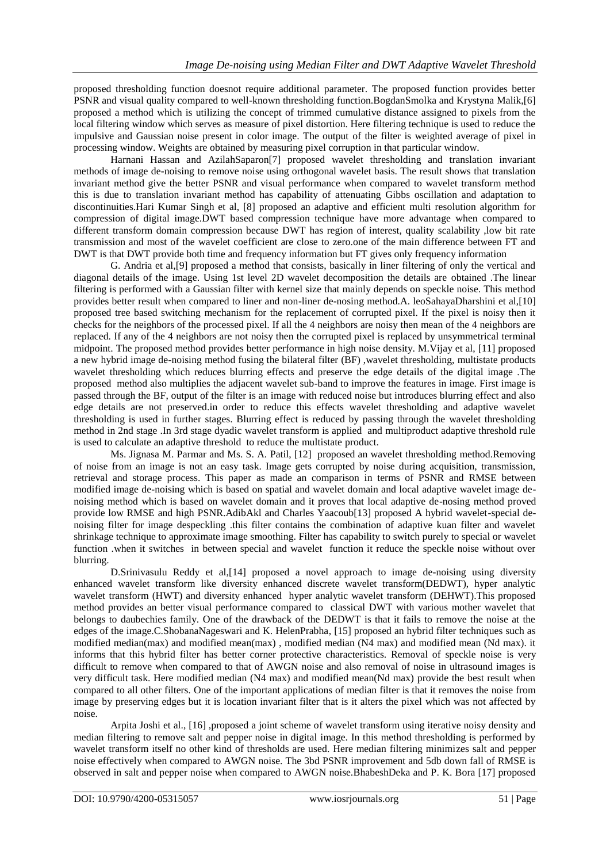proposed thresholding function doesnot require additional parameter. The proposed function provides better PSNR and visual quality compared to well-known thresholding function.BogdanSmolka and Krystyna Malik,[6] proposed a method which is utilizing the concept of trimmed cumulative distance assigned to pixels from the local filtering window which serves as measure of pixel distortion. Here filtering technique is used to reduce the impulsive and Gaussian noise present in color image. The output of the filter is weighted average of pixel in processing window. Weights are obtained by measuring pixel corruption in that particular window.

Harnani Hassan and AzilahSaparon[7] proposed wavelet thresholding and translation invariant methods of image de-noising to remove noise using orthogonal wavelet basis. The result shows that translation invariant method give the better PSNR and visual performance when compared to wavelet transform method this is due to translation invariant method has capability of attenuating Gibbs oscillation and adaptation to discontinuities.Hari Kumar Singh et al, [8] proposed an adaptive and efficient multi resolution algorithm for compression of digital image.DWT based compression technique have more advantage when compared to different transform domain compression because DWT has region of interest, quality scalability ,low bit rate transmission and most of the wavelet coefficient are close to zero.one of the main difference between FT and DWT is that DWT provide both time and frequency information but FT gives only frequency information

G. Andria et al,[9] proposed a method that consists, basically in liner filtering of only the vertical and diagonal details of the image. Using 1st level 2D wavelet decomposition the details are obtained .The linear filtering is performed with a Gaussian filter with kernel size that mainly depends on speckle noise. This method provides better result when compared to liner and non-liner de-nosing method.A. leoSahayaDharshini et al,[10] proposed tree based switching mechanism for the replacement of corrupted pixel. If the pixel is noisy then it checks for the neighbors of the processed pixel. If all the 4 neighbors are noisy then mean of the 4 neighbors are replaced. If any of the 4 neighbors are not noisy then the corrupted pixel is replaced by unsymmetrical terminal midpoint. The proposed method provides better performance in high noise density. M.Vijay et al, [11] proposed a new hybrid image de-noising method fusing the bilateral filter (BF) ,wavelet thresholding, multistate products wavelet thresholding which reduces blurring effects and preserve the edge details of the digital image .The proposed method also multiplies the adjacent wavelet sub-band to improve the features in image. First image is passed through the BF, output of the filter is an image with reduced noise but introduces blurring effect and also edge details are not preserved.in order to reduce this effects wavelet thresholding and adaptive wavelet thresholding is used in further stages. Blurring effect is reduced by passing through the wavelet thresholding method in 2nd stage .In 3rd stage dyadic wavelet transform is applied and multiproduct adaptive threshold rule is used to calculate an adaptive threshold to reduce the multistate product.

Ms. Jignasa M. Parmar and Ms. S. A. Patil, [12] proposed an wavelet thresholding method.Removing of noise from an image is not an easy task. Image gets corrupted by noise during acquisition, transmission, retrieval and storage process. This paper as made an comparison in terms of PSNR and RMSE between modified image de-noising which is based on spatial and wavelet domain and local adaptive wavelet image denoising method which is based on wavelet domain and it proves that local adaptive de-nosing method proved provide low RMSE and high PSNR.AdibAkl and Charles Yaacoub[13] proposed A hybrid wavelet-special denoising filter for image despeckling .this filter contains the combination of adaptive kuan filter and wavelet shrinkage technique to approximate image smoothing. Filter has capability to switch purely to special or wavelet function .when it switches in between special and wavelet function it reduce the speckle noise without over blurring.

D.Srinivasulu Reddy et al,[14] proposed a novel approach to image de-noising using diversity enhanced wavelet transform like diversity enhanced discrete wavelet transform(DEDWT), hyper analytic wavelet transform (HWT) and diversity enhanced hyper analytic wavelet transform (DEHWT).This proposed method provides an better visual performance compared to classical DWT with various mother wavelet that belongs to daubechies family. One of the drawback of the DEDWT is that it fails to remove the noise at the edges of the image.C.ShobanaNageswari and K. HelenPrabha, [15] proposed an hybrid filter techniques such as modified median(max) and modified mean(max) , modified median (N4 max) and modified mean (Nd max). it informs that this hybrid filter has better corner protective characteristics. Removal of speckle noise is very difficult to remove when compared to that of AWGN noise and also removal of noise in ultrasound images is very difficult task. Here modified median (N4 max) and modified mean(Nd max) provide the best result when compared to all other filters. One of the important applications of median filter is that it removes the noise from image by preserving edges but it is location invariant filter that is it alters the pixel which was not affected by noise.

Arpita Joshi et al., [16] ,proposed a joint scheme of wavelet transform using iterative noisy density and median filtering to remove salt and pepper noise in digital image. In this method thresholding is performed by wavelet transform itself no other kind of thresholds are used. Here median filtering minimizes salt and pepper noise effectively when compared to AWGN noise. The 3bd PSNR improvement and 5db down fall of RMSE is observed in salt and pepper noise when compared to AWGN noise.BhabeshDeka and P. K. Bora [17] proposed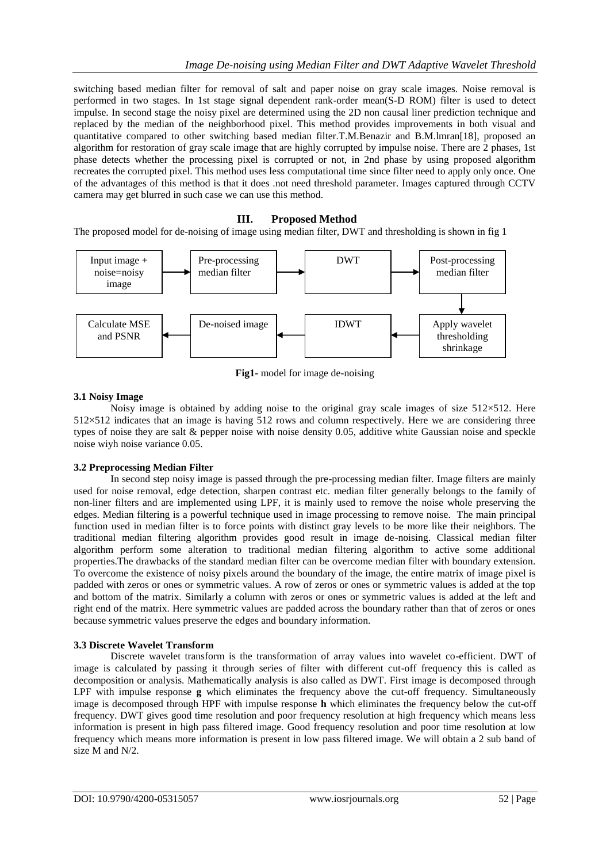switching based median filter for removal of salt and paper noise on gray scale images. Noise removal is performed in two stages. In 1st stage signal dependent rank-order mean(S-D ROM) filter is used to detect impulse. In second stage the noisy pixel are determined using the 2D non causal liner prediction technique and replaced by the median of the neighborhood pixel. This method provides improvements in both visual and quantitative compared to other switching based median filter.T.M.Benazir and B.M.lmran[18], proposed an algorithm for restoration of gray scale image that are highly corrupted by impulse noise. There are 2 phases, 1st phase detects whether the processing pixel is corrupted or not, in 2nd phase by using proposed algorithm recreates the corrupted pixel. This method uses less computational time since filter need to apply only once. One of the advantages of this method is that it does .not need threshold parameter. Images captured through CCTV camera may get blurred in such case we can use this method.

## **III. Proposed Method**

The proposed model for de-noising of image using median filter, DWT and thresholding is shown in fig 1



**Fig1-** model for image de-noising

## **3.1 Noisy Image**

Noisy image is obtained by adding noise to the original gray scale images of size  $512\times512$ . Here 512×512 indicates that an image is having 512 rows and column respectively. Here we are considering three types of noise they are salt & pepper noise with noise density 0.05, additive white Gaussian noise and speckle noise wiyh noise variance 0.05.

## **3.2 Preprocessing Median Filter**

In second step noisy image is passed through the pre-processing median filter. Image filters are mainly used for noise removal, edge detection, sharpen contrast etc. median filter generally belongs to the family of non-liner filters and are implemented using LPF, it is mainly used to remove the noise whole preserving the edges. Median filtering is a powerful technique used in image processing to remove noise. The main principal function used in median filter is to force points with distinct gray levels to be more like their neighbors. The traditional median filtering algorithm provides good result in image de-noising. Classical median filter algorithm perform some alteration to traditional median filtering algorithm to active some additional properties.The drawbacks of the standard median filter can be overcome median filter with boundary extension. To overcome the existence of noisy pixels around the boundary of the image, the entire matrix of image pixel is padded with zeros or ones or symmetric values. A row of zeros or ones or symmetric values is added at the top and bottom of the matrix. Similarly a column with zeros or ones or symmetric values is added at the left and right end of the matrix. Here symmetric values are padded across the boundary rather than that of zeros or ones because symmetric values preserve the edges and boundary information.

#### **3.3 Discrete Wavelet Transform**

Discrete wavelet transform is the transformation of array values into wavelet co-efficient. DWT of image is calculated by passing it through series of filter with different cut-off frequency this is called as decomposition or analysis. Mathematically analysis is also called as DWT. First image is decomposed through LPF with impulse response **g** which eliminates the frequency above the cut-off frequency. Simultaneously image is decomposed through HPF with impulse response **h** which eliminates the frequency below the cut-off frequency. DWT gives good time resolution and poor frequency resolution at high frequency which means less information is present in high pass filtered image. Good frequency resolution and poor time resolution at low frequency which means more information is present in low pass filtered image. We will obtain a 2 sub band of size M and N/2.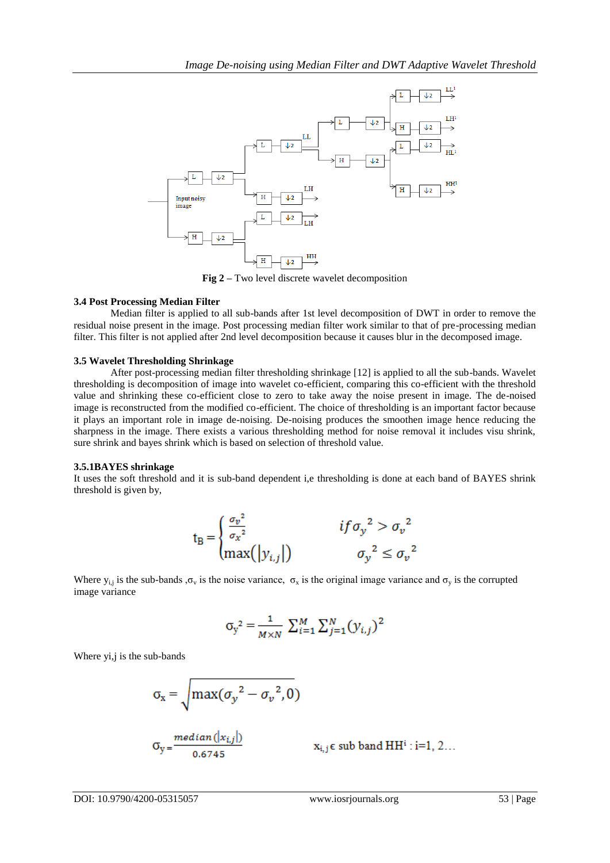

**Fig 2 –** Two level discrete wavelet decomposition

#### **3.4 Post Processing Median Filter**

Median filter is applied to all sub-bands after 1st level decomposition of DWT in order to remove the residual noise present in the image. Post processing median filter work similar to that of pre-processing median filter. This filter is not applied after 2nd level decomposition because it causes blur in the decomposed image.

#### **3.5 Wavelet Thresholding Shrinkage**

After post-processing median filter thresholding shrinkage [12] is applied to all the sub-bands. Wavelet thresholding is decomposition of image into wavelet co-efficient, comparing this co-efficient with the threshold value and shrinking these co-efficient close to zero to take away the noise present in image. The de-noised image is reconstructed from the modified co-efficient. The choice of thresholding is an important factor because it plays an important role in image de-noising. De-noising produces the smoothen image hence reducing the sharpness in the image. There exists a various thresholding method for noise removal it includes visu shrink, sure shrink and bayes shrink which is based on selection of threshold value.

#### **3.5.1BAYES shrinkage**

It uses the soft threshold and it is sub-band dependent i,e thresholding is done at each band of BAYES shrink threshold is given by,

$$
t_{\rm B} = \begin{cases} \frac{\sigma_v^2}{\sigma_x^2} & \text{if } \sigma_y^2 > \sigma_v^2\\ \max(|y_{i,j}|) & \sigma_y^2 \le \sigma_v^2 \end{cases}
$$

Where  $y_{i,j}$  is the sub-bands , $\sigma_y$  is the noise variance,  $\sigma_x$  is the original image variance and  $\sigma_y$  is the corrupted image variance

$$
\sigma_{y}^{2} = \frac{1}{M \times N} \sum_{i=1}^{M} \sum_{j=1}^{N} (y_{i,j})^{2}
$$

Where yi,j is the sub-bands

$$
\sigma_{x} = \sqrt{\max(\sigma_{y}^{2} - \sigma_{v}^{2}, 0)}
$$
  

$$
\sigma_{y} = \frac{median(|x_{i,j}|)}{}
$$

0.6745

 $x_{i,i} \in sub$  band  $HH^i$ : i=1, 2...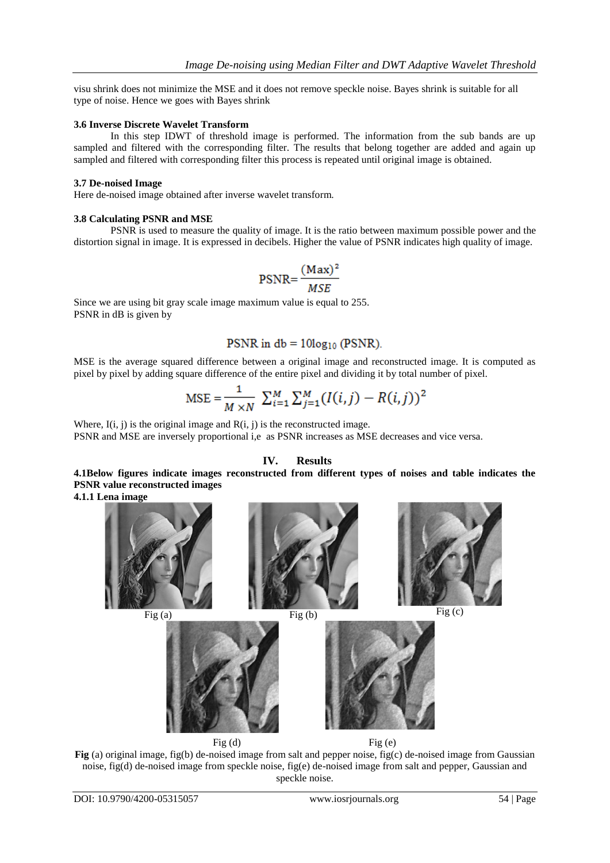visu shrink does not minimize the MSE and it does not remove speckle noise. Bayes shrink is suitable for all type of noise. Hence we goes with Bayes shrink

#### **3.6 Inverse Discrete Wavelet Transform**

In this step IDWT of threshold image is performed. The information from the sub bands are up sampled and filtered with the corresponding filter. The results that belong together are added and again up sampled and filtered with corresponding filter this process is repeated until original image is obtained.

#### **3.7 De-noised Image**

Here de-noised image obtained after inverse wavelet transform.

#### **3.8 Calculating PSNR and MSE**

PSNR is used to measure the quality of image. It is the ratio between maximum possible power and the distortion signal in image. It is expressed in decibels. Higher the value of PSNR indicates high quality of image.

$$
PSNR = \frac{(Max)^2}{MSE}
$$

Since we are using bit gray scale image maximum value is equal to 255. PSNR in dB is given by

## PSNR in  $db = 10log_{10}$  (PSNR).

MSE is the average squared difference between a original image and reconstructed image. It is computed as pixel by pixel by adding square difference of the entire pixel and dividing it by total number of pixel.

$$
MSE = \frac{1}{M \times N} \sum_{i=1}^{M} \sum_{j=1}^{M} (I(i,j) - R(i,j))^2
$$

Where,  $I(i, j)$  is the original image and  $R(i, j)$  is the reconstructed image. PSNR and MSE are inversely proportional i,e as PSNR increases as MSE decreases and vice versa.

#### **IV. Results**

**4.1Below figures indicate images reconstructed from different types of noises and table indicates the PSNR value reconstructed images**

**4.1.1 Lena image**



**Fig** (a) original image, fig(b) de-noised image from salt and pepper noise, fig(c) de-noised image from Gaussian noise, fig(d) de-noised image from speckle noise, fig(e) de-noised image from salt and pepper, Gaussian and speckle noise.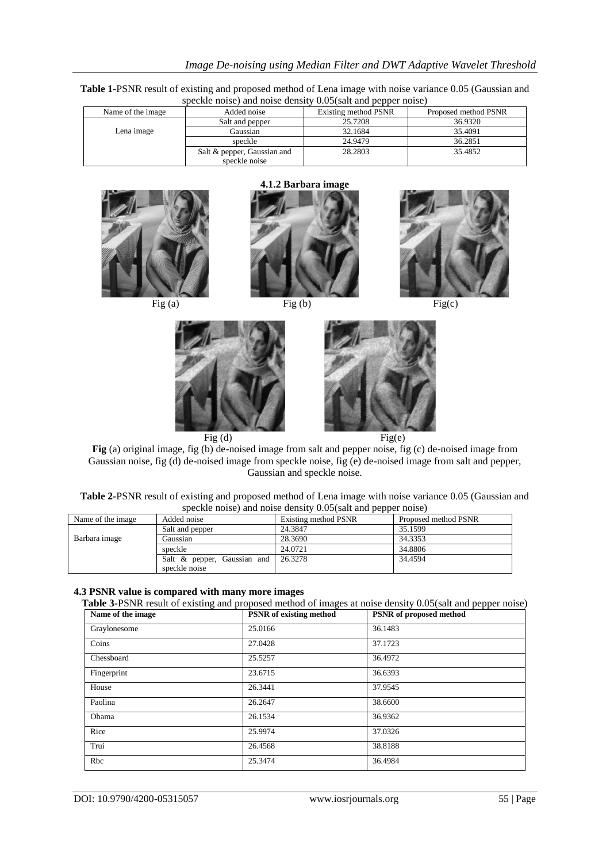| Table 1-PSNR result of existing and proposed method of Lena image with noise variance 0.05 (Gaussian and |  |  |
|----------------------------------------------------------------------------------------------------------|--|--|
| speckle noise) and noise density 0.05(salt and pepper noise)                                             |  |  |

| Name of the image. | Added noise                 | Existing method PSNR | Proposed method PSNR |
|--------------------|-----------------------------|----------------------|----------------------|
|                    | Salt and pepper             | 25.7208              | 36.9320              |
| Lena image         | Gaussian                    | 32.1684              | 35.4091              |
|                    | speckle                     | 24.9479              | 36.2851              |
|                    | Salt & pepper, Gaussian and | 28.2803              | 35.4852              |
|                    | speckle noise               |                      |                      |



#### **4.1.2 Barbara image**





Fig (a) Fig (b) Fig (c)



**Fig** (a) original image, fig (b) de-noised image from salt and pepper noise, fig (c) de-noised image from Gaussian noise, fig (d) de-noised image from speckle noise, fig (e) de-noised image from salt and pepper, Gaussian and speckle noise.

| Table 2-PSNR result of existing and proposed method of Lena image with noise variance 0.05 (Gaussian and |  |
|----------------------------------------------------------------------------------------------------------|--|
| speckle noise) and noise density 0.05(salt and pepper noise)                                             |  |

| Name of the image. | Added noise                 | Existing method PSNR | Proposed method PSNR |
|--------------------|-----------------------------|----------------------|----------------------|
|                    | Salt and pepper             | 24.3847              | 35.1599              |
| Barbara image      | Gaussian                    | 28.3690              | 34.3353              |
|                    | speckle                     | 24.0721              | 34.8806              |
|                    | Salt & pepper, Gaussian and | 26.3278              | 34.4594              |
|                    | speckle noise               |                      |                      |

## **4.3 PSNR value is compared with many more images**

**Table 3-**PSNR result of existing and proposed method of images at noise density 0.05(salt and pepper noise)

| Name of the image | <b>PSNR</b> of existing method | .<br>PSNR of proposed method |
|-------------------|--------------------------------|------------------------------|
| Graylonesome      | 25.0166                        | 36.1483                      |
| Coins             | 27.0428                        | 37.1723                      |
| Chessboard        | 25.5257                        | 36.4972                      |
| Fingerprint       | 23.6715                        | 36.6393                      |
| House             | 26.3441                        | 37.9545                      |
| Paolina           | 26.2647                        | 38.6600                      |
| Obama             | 26.1534                        | 36.9362                      |
| Rice              | 25.9974                        | 37.0326                      |
| Trui              | 26.4568                        | 38.8188                      |
| Rbc               | 25.3474                        | 36.4984                      |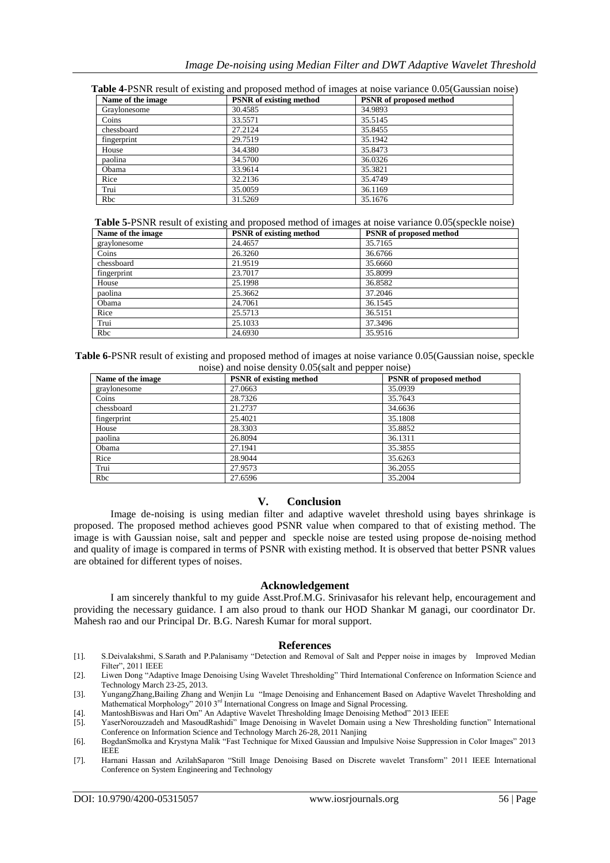| Name of the image | <b>PSNR</b> of existing method | <b>PSNR</b> of proposed method |
|-------------------|--------------------------------|--------------------------------|
| Graylonesome      | 30.4585                        | 34.9893                        |
| Coins             | 33.5571                        | 35.5145                        |
| chessboard        | 27.2124                        | 35.8455                        |
| fingerprint       | 29.7519                        | 35.1942                        |
| House             | 34.4380                        | 35.8473                        |
| paolina           | 34.5700                        | 36.0326                        |
| Obama             | 33.9614                        | 35.3821                        |
| Rice              | 32.2136                        | 35.4749                        |
| Trui              | 35.0059                        | 36.1169                        |
| Rbc               | 31.5269                        | 35.1676                        |

**Table 4-**PSNR result of existing and proposed method of images at noise variance 0.05(Gaussian noise)

**Table 5-**PSNR result of existing and proposed method of images at noise variance 0.05(speckle noise)

| Name of the image. | <b>PSNR</b> of existing method | <b>PSNR</b> of proposed method |
|--------------------|--------------------------------|--------------------------------|
| graylonesome       | 24.4657                        | 35.7165                        |
| Coins              | 26.3260                        | 36.6766                        |
| chessboard         | 21.9519                        | 35.6660                        |
| fingerprint        | 23.7017                        | 35.8099                        |
| House              | 25.1998                        | 36.8582                        |
| paolina            | 25.3662                        | 37.2046                        |
| Obama              | 24.7061                        | 36.1545                        |
| Rice               | 25.5713                        | 36.5151                        |
| Trui               | 25.1033                        | 37.3496                        |
| Rbc                | 24.6930                        | 35.9516                        |

**Table 6-**PSNR result of existing and proposed method of images at noise variance 0.05(Gaussian noise, speckle noise) and noise density 0.05(salt and pepper noise)

| Name of the image | <b>PSNR</b> of existing method | <b>PSNR</b> of proposed method |
|-------------------|--------------------------------|--------------------------------|
| graylonesome      | 27.0663                        | 35.0939                        |
| Coins             | 28.7326                        | 35.7643                        |
| chessboard        | 21.2737                        | 34.6636                        |
| fingerprint       | 25.4021                        | 35.1808                        |
| House             | 28.3303                        | 35.8852                        |
| paolina           | 26.8094                        | 36.1311                        |
| Obama             | 27.1941                        | 35.3855                        |
| Rice              | 28.9044                        | 35.6263                        |
| Trui              | 27.9573                        | 36.2055                        |
| Rbc               | 27.6596                        | 35.2004                        |

### **V. Conclusion**

Image de-noising is using median filter and adaptive wavelet threshold using bayes shrinkage is proposed. The proposed method achieves good PSNR value when compared to that of existing method. The image is with Gaussian noise, salt and pepper and speckle noise are tested using propose de-noising method and quality of image is compared in terms of PSNR with existing method. It is observed that better PSNR values are obtained for different types of noises.

#### **Acknowledgement**

I am sincerely thankful to my guide Asst.Prof.M.G. Srinivasafor his relevant help, encouragement and providing the necessary guidance. I am also proud to thank our HOD Shankar M ganagi, our coordinator Dr. Mahesh rao and our Principal Dr. B.G. Naresh Kumar for moral support.

#### **References**

- [1]. S.Deivalakshmi, S.Sarath and P.Palanisamy "Detection and Removal of Salt and Pepper noise in images by Improved Median Filter", 2011 IEEE
- [2]. Liwen Dong "Adaptive Image Denoising Using Wavelet Thresholding" Third International Conference on Information Science and Technology March 23-25, 2013.
- [3]. YungangZhang,Bailing Zhang and Wenjin Lu "Image Denoising and Enhancement Based on Adaptive Wavelet Thresholding and Mathematical Morphology" 2010 3<sup>rd</sup> International Congress on Image and Signal Processing.
- [4]. MantoshBiswas and Hari Om" An Adaptive Wavelet Thresholding Image Denoising Method" 2013 IEEE
- [5]. YaserNorouzzadeh and MasoudRashidi" Image Denoising in Wavelet Domain using a New Thresholding function" International Conference on Information Science and Technology March 26-28, 2011 Nanjing
- [6]. BogdanSmolka and Krystyna Malik "Fast Technique for Mixed Gaussian and Impulsive Noise Suppression in Color Images" 2013 IEEE
- [7]. Harnani Hassan and AzilahSaparon "Still Image Denoising Based on Discrete wavelet Transform" 2011 IEEE International Conference on System Engineering and Technology